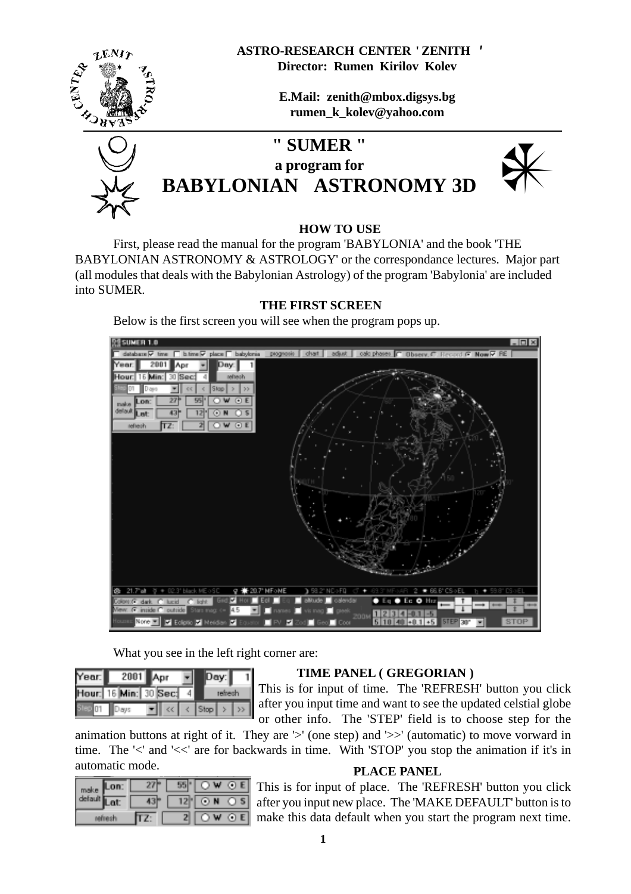**ASTRO-RESEARCH CENTER ' ZENITH ' Director: Rumen Kirilov Kolev**



**E.Mail: zenith@mbox.digsys.bg rumen\_k\_kolev@yahoo.com**



# **" SUMER " a program for BABYLONIAN ASTRONOMY 3D** *a*



#### **HOW TO USE**

First, please read the manual for the program 'BABYLONIA' and the book 'THE BABYLONIAN ASTRONOMY & ASTROLOGY' or the correspondance lectures. Major part (all modules that deals with the Babylonian Astrology) of the program 'Babylonia' are included into SUMER.

#### **THE FIRST SCREEN**

Below is the first screen you will see when the program pops up.



What you see in the left right corner are:

| Year: | 2001             |  |  |  |  |  |
|-------|------------------|--|--|--|--|--|
|       | Hour: 16 Min: 30 |  |  |  |  |  |
|       |                  |  |  |  |  |  |

#### **TIME PANEL ( GREGORIAN )**

This is for input of time. The 'REFRESH' button you click after you input time and want to see the updated celstial globe or other info. The 'STEP' field is to choose step for the

animation buttons at right of it. They are '>' (one step) and '>>' (automatic) to move vorward in time. The '<' and '<<' are for backwards in time. With 'STOP' you stop the animation if it's in automatic mode. **PLACE PANEL**

| make |  |  |     |  |
|------|--|--|-----|--|
|      |  |  | O N |  |
|      |  |  |     |  |

This is for input of place. The 'REFRESH' button you click after you input new place. The 'MAKE DEFAULT' button is to make this data default when you start the program next time.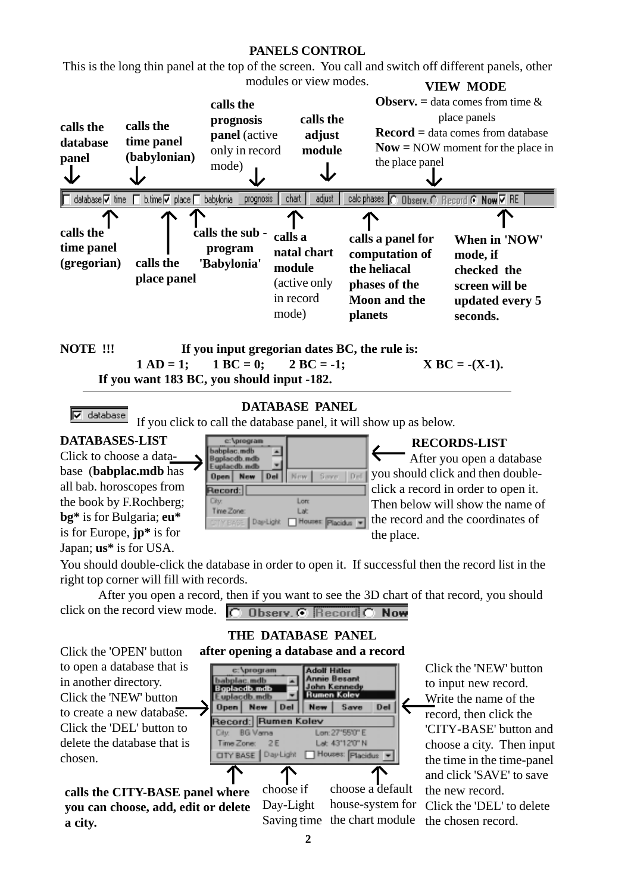#### **PANELS CONTROL**

This is the long thin panel at the top of the screen. You call and switch off different panels, other modules or view modes. **VIEW MODE**



$$
\boxed{\nabla \quad \text{database} \quad \ldots \quad \ldots}
$$

#### **DATABASE PANEL**

If you click to call the database panel, it will show up as below.

## **DATABASES-LIST**

Click to choose a database (**babplac.mdb** has all bab. horoscopes from the book by F.Rochberg; **bg\*** is for Bulgaria; **eu\*** is for Europe, **jp\*** is for Japan; **us\*** is for USA.

c:\program babplac.mdb ← sodb.ms Euplacdb.ndb Open New Del New. Record: Long **Div** Time Zone Lat Day-Light Houses: Placidus W

#### **RECORDS-LIST**

After you open a database saw | Del | you should click and then doubleclick a record in order to open it. Then below will show the name of the record and the coordinates of the place.

You should double-click the database in order to open it. If successful then the record list in the right top corner will fill with records.

After you open a record, then if you want to see the 3D chart of that record, you should click on the record view mode.  $\overline{C}$  **Observ.**  $\overline{C}$  **Record**  $\overline{C}$  **Now** 

**THE DATABASE PANEL**



Click the 'NEW' button to input new record. Write the name of the record, then click the 'CITY-BASE' button and choose a city. Then input the time in the time-panel and click 'SAVE' to save the new record. Click the 'DEL' to delete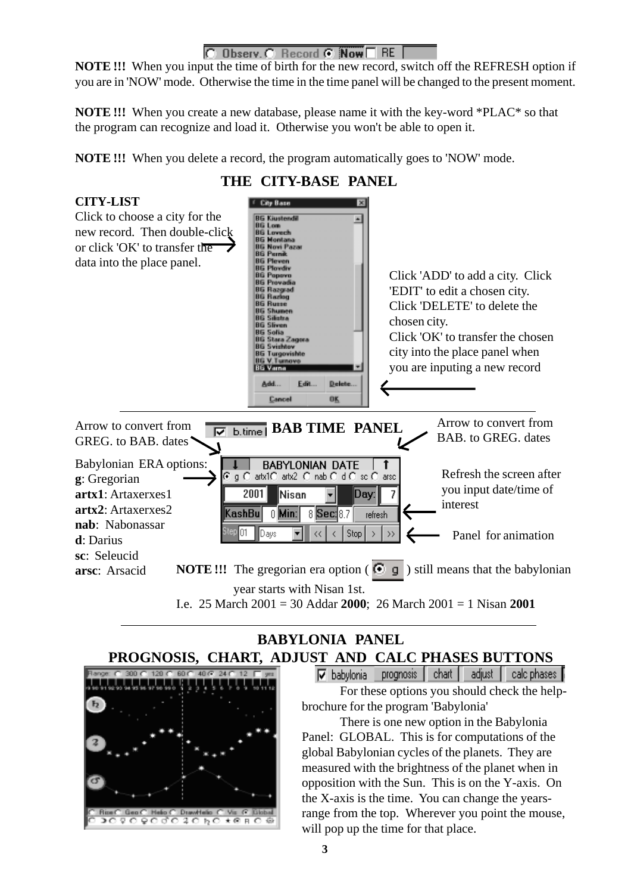### C Observ. C Record C Now T RE

**NOTE !!!** When you input the time of birth for the new record, switch off the REFRESH option if you are in 'NOW' mode. Otherwise the time in the time panel will be changed to the present moment.

**NOTE !!!** When you create a new database, please name it with the key-word \*PLAC\* so that the program can recognize and load it. Otherwise you won't be able to open it.

**NOTE!!!** When you delete a record, the program automatically goes to 'NOW' mode.





## **BABYLONIA PANEL PROGNOSIS, CHART, ADJUST AND CALC PHASES BUTTONS**



V babylonia prognosis | chart | adjust | | calc phases |

For these options you should check the helpbrochure for the program 'Babylonia'

There is one new option in the Babylonia Panel: GLOBAL. This is for computations of the global Babylonian cycles of the planets. They are measured with the brightness of the planet when in opposition with the Sun. This is on the Y-axis. On the X-axis is the time. You can change the yearsrange from the top. Wherever you point the mouse, will pop up the time for that place.